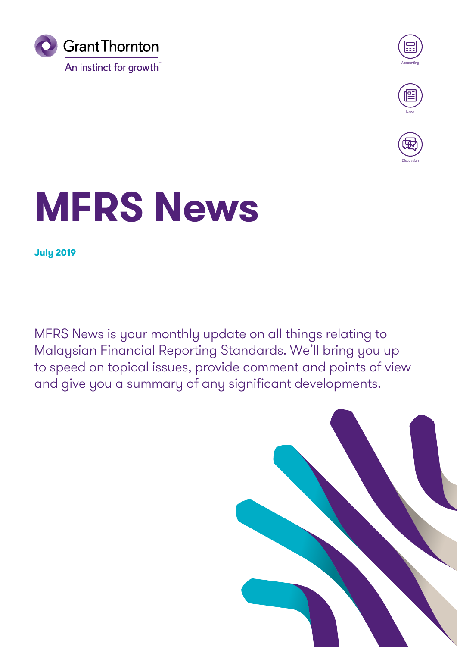



**Discussion** 

## **MFRS News**

**July 2019**

MFRS News is your monthly update on all things relating to Malaysian Financial Reporting Standards. We'll bring you up to speed on topical issues, provide comment and points of view and give you a summary of any significant developments.